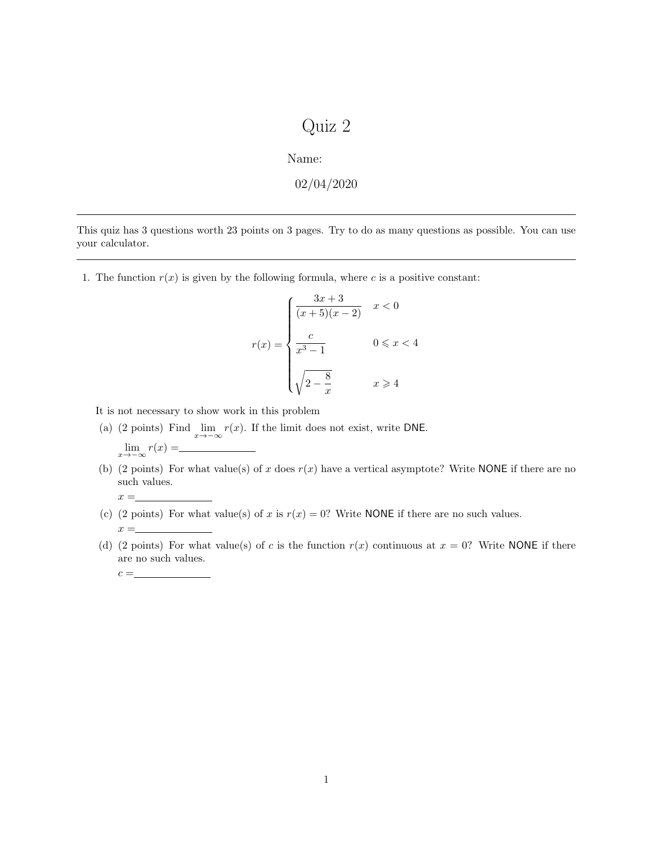## Quiz 2

Name:

$$
02/04/2020
$$

This quiz has 3 questions worth 23 points on 3 pages. Try to do as many questions as possible. You can use your calculator.

1. The function  $r(x)$  is given by the following formula, where c is a positive constant:

$$
r(x) = \begin{cases} \frac{3x+3}{(x+5)(x-2)} & x < 0\\ \frac{c}{x^3-1} & 0 \le x < 4\\ \sqrt{2-\frac{8}{x}} & x \ge 4 \end{cases}
$$

It is not necessary to show work in this problem

- (a) (2 points) Find  $\lim_{x\to -\infty} r(x)$ . If the limit does not exist, write DNE.  $\lim_{x \to -\infty} r(x) =$
- (b) (2 points) For what value(s) of x does  $r(x)$  have a vertical asymptote? Write NONE if there are no such values.
- (c) (2 points) For what value(s) of x is  $r(x) = 0$ ? Write NONE if there are no such values.
- (d) (2 points) For what value(s) of c is the function  $r(x)$  continuous at  $x = 0$ ? Write NONE if there are no such values.

 $x = \_$ 

 $x =$ 

 $c = \_$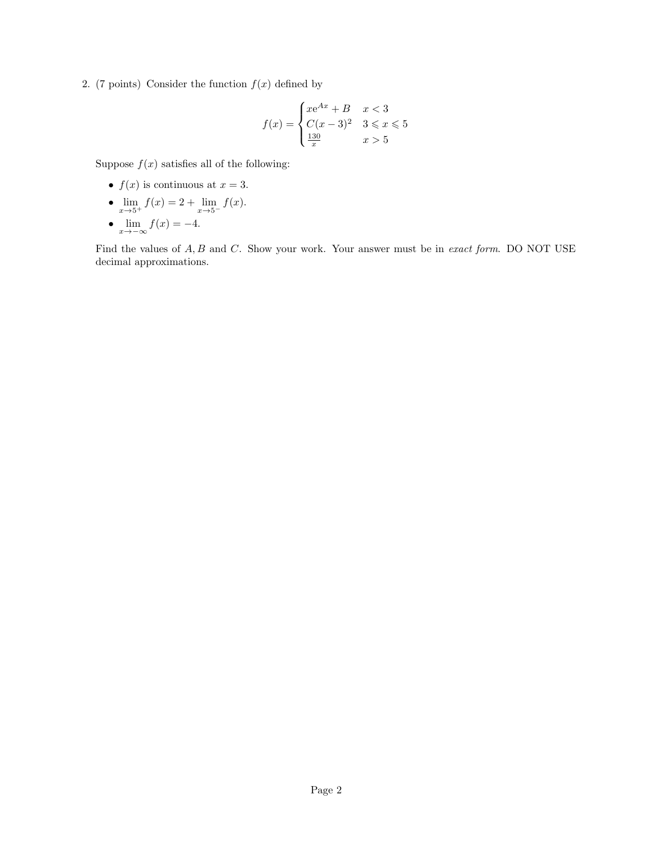2. (7 points) Consider the function  $f(x)$  defined by

$$
f(x) = \begin{cases} xe^{Ax} + B & x < 3\\ C(x - 3)^2 & 3 \le x \le 5\\ \frac{130}{x} & x > 5 \end{cases}
$$

Suppose  $f(x)$  satisfies all of the following:

- $f(x)$  is continuous at  $x = 3$ .
- $\lim_{x \to 5^+} f(x) = 2 + \lim_{x \to 5^-} f(x)$ .
- $\lim_{x \to -\infty} f(x) = -4.$

Find the values of  $A, B$  and  $C$ . Show your work. Your answer must be in *exact form*. DO NOT USE decimal approximations.